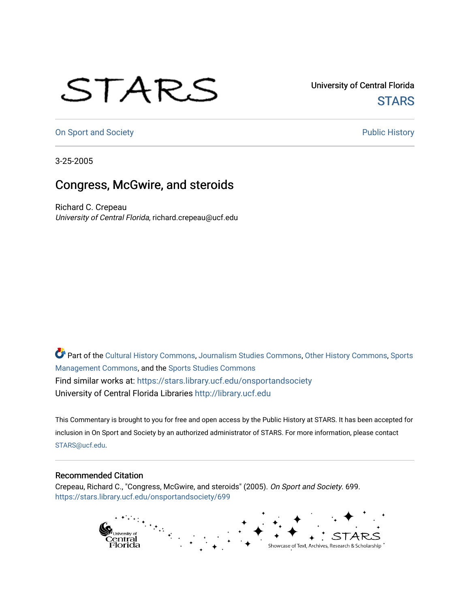## STARS

University of Central Florida **STARS** 

[On Sport and Society](https://stars.library.ucf.edu/onsportandsociety) **Public History** Public History

3-25-2005

## Congress, McGwire, and steroids

Richard C. Crepeau University of Central Florida, richard.crepeau@ucf.edu

Part of the [Cultural History Commons](http://network.bepress.com/hgg/discipline/496?utm_source=stars.library.ucf.edu%2Fonsportandsociety%2F699&utm_medium=PDF&utm_campaign=PDFCoverPages), [Journalism Studies Commons,](http://network.bepress.com/hgg/discipline/333?utm_source=stars.library.ucf.edu%2Fonsportandsociety%2F699&utm_medium=PDF&utm_campaign=PDFCoverPages) [Other History Commons,](http://network.bepress.com/hgg/discipline/508?utm_source=stars.library.ucf.edu%2Fonsportandsociety%2F699&utm_medium=PDF&utm_campaign=PDFCoverPages) [Sports](http://network.bepress.com/hgg/discipline/1193?utm_source=stars.library.ucf.edu%2Fonsportandsociety%2F699&utm_medium=PDF&utm_campaign=PDFCoverPages) [Management Commons](http://network.bepress.com/hgg/discipline/1193?utm_source=stars.library.ucf.edu%2Fonsportandsociety%2F699&utm_medium=PDF&utm_campaign=PDFCoverPages), and the [Sports Studies Commons](http://network.bepress.com/hgg/discipline/1198?utm_source=stars.library.ucf.edu%2Fonsportandsociety%2F699&utm_medium=PDF&utm_campaign=PDFCoverPages) Find similar works at: <https://stars.library.ucf.edu/onsportandsociety> University of Central Florida Libraries [http://library.ucf.edu](http://library.ucf.edu/) 

This Commentary is brought to you for free and open access by the Public History at STARS. It has been accepted for inclusion in On Sport and Society by an authorized administrator of STARS. For more information, please contact [STARS@ucf.edu](mailto:STARS@ucf.edu).

## Recommended Citation

Crepeau, Richard C., "Congress, McGwire, and steroids" (2005). On Sport and Society. 699. [https://stars.library.ucf.edu/onsportandsociety/699](https://stars.library.ucf.edu/onsportandsociety/699?utm_source=stars.library.ucf.edu%2Fonsportandsociety%2F699&utm_medium=PDF&utm_campaign=PDFCoverPages)

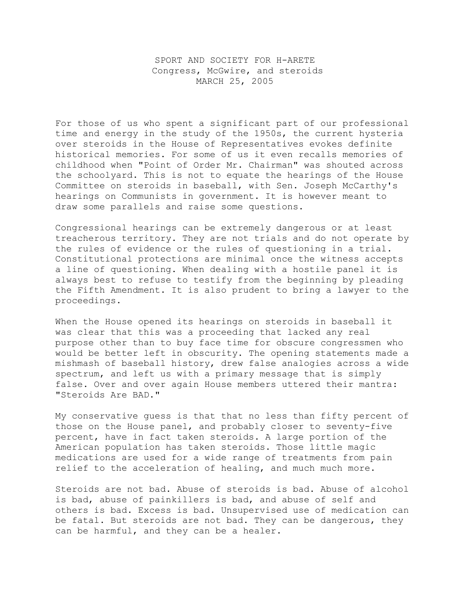SPORT AND SOCIETY FOR H-ARETE Congress, McGwire, and steroids MARCH 25, 2005

For those of us who spent a significant part of our professional time and energy in the study of the 1950s, the current hysteria over steroids in the House of Representatives evokes definite historical memories. For some of us it even recalls memories of childhood when "Point of Order Mr. Chairman" was shouted across the schoolyard. This is not to equate the hearings of the House Committee on steroids in baseball, with Sen. Joseph McCarthy's hearings on Communists in government. It is however meant to draw some parallels and raise some questions.

Congressional hearings can be extremely dangerous or at least treacherous territory. They are not trials and do not operate by the rules of evidence or the rules of questioning in a trial. Constitutional protections are minimal once the witness accepts a line of questioning. When dealing with a hostile panel it is always best to refuse to testify from the beginning by pleading the Fifth Amendment. It is also prudent to bring a lawyer to the proceedings.

When the House opened its hearings on steroids in baseball it was clear that this was a proceeding that lacked any real purpose other than to buy face time for obscure congressmen who would be better left in obscurity. The opening statements made a mishmash of baseball history, drew false analogies across a wide spectrum, and left us with a primary message that is simply false. Over and over again House members uttered their mantra: "Steroids Are BAD."

My conservative guess is that that no less than fifty percent of those on the House panel, and probably closer to seventy-five percent, have in fact taken steroids. A large portion of the American population has taken steroids. Those little magic medications are used for a wide range of treatments from pain relief to the acceleration of healing, and much much more.

Steroids are not bad. Abuse of steroids is bad. Abuse of alcohol is bad, abuse of painkillers is bad, and abuse of self and others is bad. Excess is bad. Unsupervised use of medication can be fatal. But steroids are not bad. They can be dangerous, they can be harmful, and they can be a healer.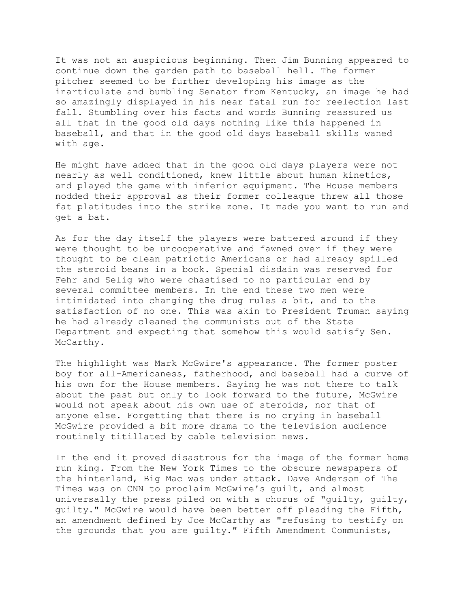It was not an auspicious beginning. Then Jim Bunning appeared to continue down the garden path to baseball hell. The former pitcher seemed to be further developing his image as the inarticulate and bumbling Senator from Kentucky, an image he had so amazingly displayed in his near fatal run for reelection last fall. Stumbling over his facts and words Bunning reassured us all that in the good old days nothing like this happened in baseball, and that in the good old days baseball skills waned with age.

He might have added that in the good old days players were not nearly as well conditioned, knew little about human kinetics, and played the game with inferior equipment. The House members nodded their approval as their former colleague threw all those fat platitudes into the strike zone. It made you want to run and get a bat.

As for the day itself the players were battered around if they were thought to be uncooperative and fawned over if they were thought to be clean patriotic Americans or had already spilled the steroid beans in a book. Special disdain was reserved for Fehr and Selig who were chastised to no particular end by several committee members. In the end these two men were intimidated into changing the drug rules a bit, and to the satisfaction of no one. This was akin to President Truman saying he had already cleaned the communists out of the State Department and expecting that somehow this would satisfy Sen. McCarthy.

The highlight was Mark McGwire's appearance. The former poster boy for all-Americaness, fatherhood, and baseball had a curve of his own for the House members. Saying he was not there to talk about the past but only to look forward to the future, McGwire would not speak about his own use of steroids, nor that of anyone else. Forgetting that there is no crying in baseball McGwire provided a bit more drama to the television audience routinely titillated by cable television news.

In the end it proved disastrous for the image of the former home run king. From the New York Times to the obscure newspapers of the hinterland, Big Mac was under attack. Dave Anderson of The Times was on CNN to proclaim McGwire's guilt, and almost universally the press piled on with a chorus of "guilty, guilty, guilty." McGwire would have been better off pleading the Fifth, an amendment defined by Joe McCarthy as "refusing to testify on the grounds that you are guilty." Fifth Amendment Communists,